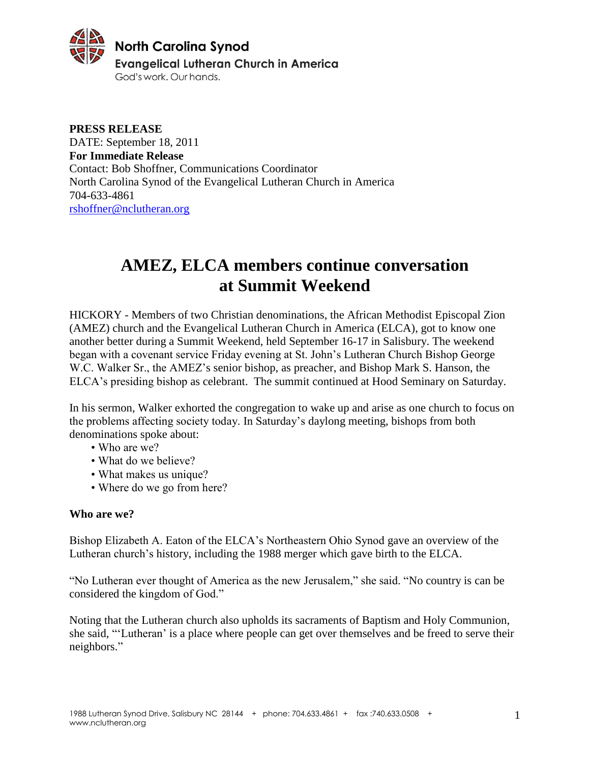

**PRESS RELEASE** DATE: September 18, 2011 **For Immediate Release** Contact: Bob Shoffner, Communications Coordinator North Carolina Synod of the Evangelical Lutheran Church in America 704-633-4861 [rshoffner@nclutheran.org](mailto:rshoffner@nclutheran.org)

# **AMEZ, ELCA members continue conversation at Summit Weekend**

HICKORY - Members of two Christian denominations, the African Methodist Episcopal Zion (AMEZ) church and the Evangelical Lutheran Church in America (ELCA), got to know one another better during a Summit Weekend, held September 16-17 in Salisbury. The weekend began with a covenant service Friday evening at St. John's Lutheran Church Bishop George W.C. Walker Sr., the AMEZ's senior bishop, as preacher, and Bishop Mark S. Hanson, the ELCA's presiding bishop as celebrant. The summit continued at Hood Seminary on Saturday.

In his sermon, Walker exhorted the congregation to wake up and arise as one church to focus on the problems affecting society today. In Saturday's daylong meeting, bishops from both denominations spoke about:

- Who are we?
- What do we believe?
- What makes us unique?
- Where do we go from here?

### **Who are we?**

Bishop Elizabeth A. Eaton of the ELCA's Northeastern Ohio Synod gave an overview of the Lutheran church's history, including the 1988 merger which gave birth to the ELCA.

"No Lutheran ever thought of America as the new Jerusalem," she said. "No country is can be considered the kingdom of God."

Noting that the Lutheran church also upholds its sacraments of Baptism and Holy Communion, she said, "'Lutheran' is a place where people can get over themselves and be freed to serve their neighbors."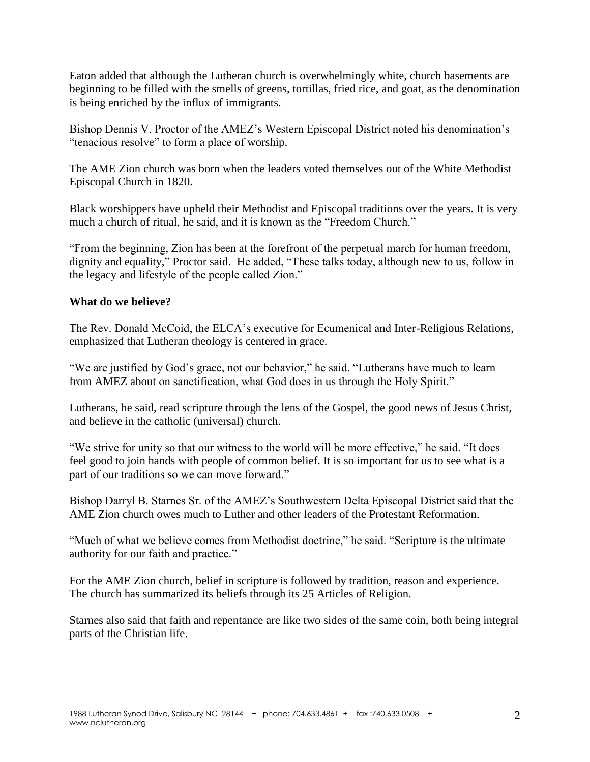Eaton added that although the Lutheran church is overwhelmingly white, church basements are beginning to be filled with the smells of greens, tortillas, fried rice, and goat, as the denomination is being enriched by the influx of immigrants.

Bishop Dennis V. Proctor of the AMEZ's Western Episcopal District noted his denomination's "tenacious resolve" to form a place of worship.

The AME Zion church was born when the leaders voted themselves out of the White Methodist Episcopal Church in 1820.

Black worshippers have upheld their Methodist and Episcopal traditions over the years. It is very much a church of ritual, he said, and it is known as the "Freedom Church."

"From the beginning, Zion has been at the forefront of the perpetual march for human freedom, dignity and equality," Proctor said. He added, "These talks today, although new to us, follow in the legacy and lifestyle of the people called Zion."

## **What do we believe?**

The Rev. Donald McCoid, the ELCA's executive for Ecumenical and Inter-Religious Relations, emphasized that Lutheran theology is centered in grace.

"We are justified by God's grace, not our behavior," he said. "Lutherans have much to learn from AMEZ about on sanctification, what God does in us through the Holy Spirit."

Lutherans, he said, read scripture through the lens of the Gospel, the good news of Jesus Christ, and believe in the catholic (universal) church.

"We strive for unity so that our witness to the world will be more effective," he said. "It does feel good to join hands with people of common belief. It is so important for us to see what is a part of our traditions so we can move forward."

Bishop Darryl B. Starnes Sr. of the AMEZ's Southwestern Delta Episcopal District said that the AME Zion church owes much to Luther and other leaders of the Protestant Reformation.

"Much of what we believe comes from Methodist doctrine," he said. "Scripture is the ultimate authority for our faith and practice."

For the AME Zion church, belief in scripture is followed by tradition, reason and experience. The church has summarized its beliefs through its 25 Articles of Religion.

Starnes also said that faith and repentance are like two sides of the same coin, both being integral parts of the Christian life.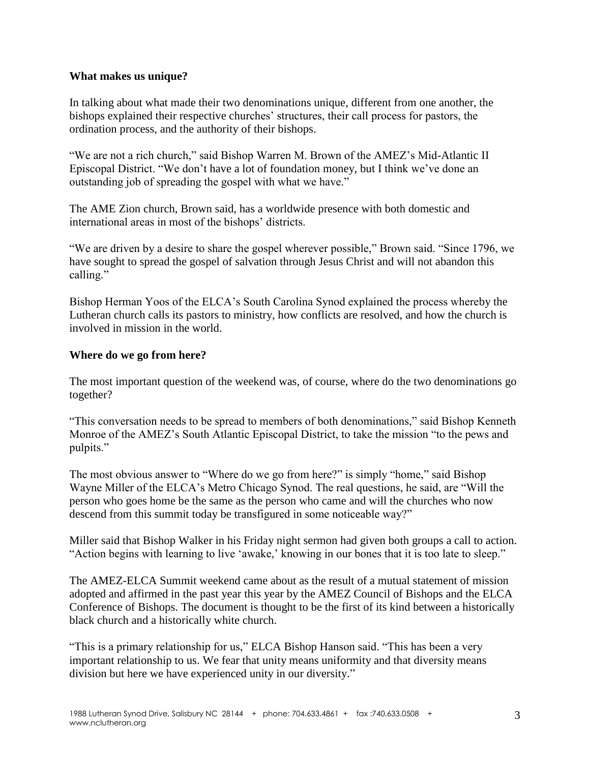### **What makes us unique?**

In talking about what made their two denominations unique, different from one another, the bishops explained their respective churches' structures, their call process for pastors, the ordination process, and the authority of their bishops.

"We are not a rich church," said Bishop Warren M. Brown of the AMEZ's Mid-Atlantic II Episcopal District. "We don't have a lot of foundation money, but I think we've done an outstanding job of spreading the gospel with what we have."

The AME Zion church, Brown said, has a worldwide presence with both domestic and international areas in most of the bishops' districts.

"We are driven by a desire to share the gospel wherever possible," Brown said. "Since 1796, we have sought to spread the gospel of salvation through Jesus Christ and will not abandon this calling."

Bishop Herman Yoos of the ELCA's South Carolina Synod explained the process whereby the Lutheran church calls its pastors to ministry, how conflicts are resolved, and how the church is involved in mission in the world.

## **Where do we go from here?**

The most important question of the weekend was, of course, where do the two denominations go together?

"This conversation needs to be spread to members of both denominations," said Bishop Kenneth Monroe of the AMEZ's South Atlantic Episcopal District, to take the mission "to the pews and pulpits."

The most obvious answer to "Where do we go from here?" is simply "home," said Bishop Wayne Miller of the ELCA's Metro Chicago Synod. The real questions, he said, are "Will the person who goes home be the same as the person who came and will the churches who now descend from this summit today be transfigured in some noticeable way?"

Miller said that Bishop Walker in his Friday night sermon had given both groups a call to action. "Action begins with learning to live 'awake,' knowing in our bones that it is too late to sleep."

The AMEZ-ELCA Summit weekend came about as the result of a mutual statement of mission adopted and affirmed in the past year this year by the AMEZ Council of Bishops and the ELCA Conference of Bishops. The document is thought to be the first of its kind between a historically black church and a historically white church.

"This is a primary relationship for us," ELCA Bishop Hanson said. "This has been a very important relationship to us. We fear that unity means uniformity and that diversity means division but here we have experienced unity in our diversity."